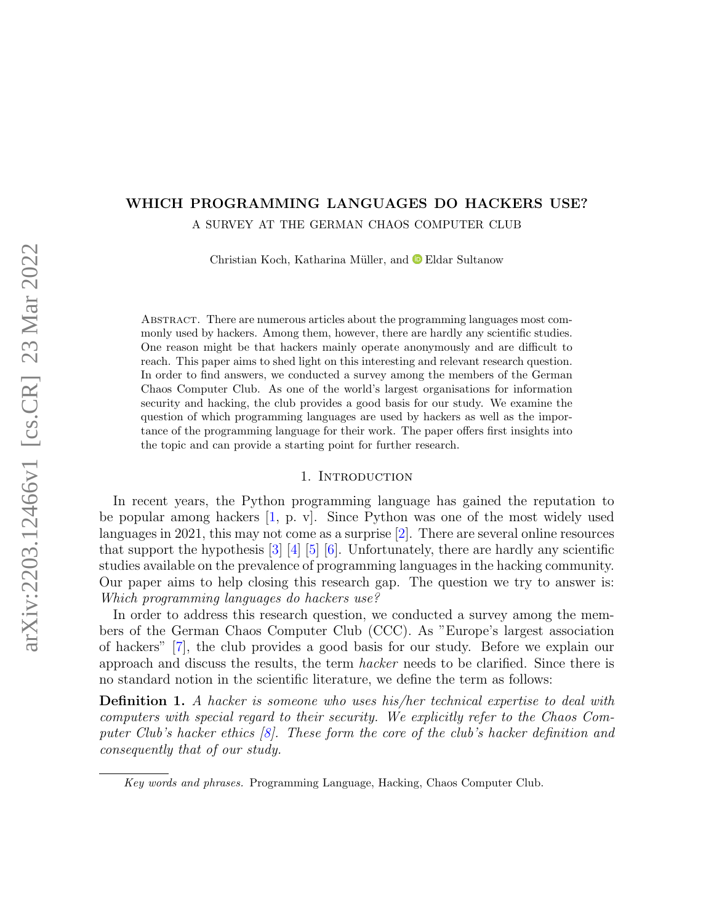## WHICH PROGRAMMING LANGUAGES DO HACKERS USE? A SURVEY AT THE GERMAN CHAOS COMPUTER CLUB

Christian Koch, Katharina Müller, and <sup>●</sup> Eldar Sultanow

Abstract. There are numerous articles about the programming languages most commonly used by hackers. Among them, however, there are hardly any scientific studies. One reason might be that hackers mainly operate anonymously and are difficult to reach. This paper aims to shed light on this interesting and relevant research question. In order to find answers, we conducted a survey among the members of the German Chaos Computer Club. As one of the world's largest organisations for information security and hacking, the club provides a good basis for our study. We examine the question of which programming languages are used by hackers as well as the importance of the programming language for their work. The paper offers first insights into the topic and can provide a starting point for further research.

#### 1. INTRODUCTION

In recent years, the Python programming language has gained the reputation to be popular among hackers [\[1,](#page-12-0) p. v]. Since Python was one of the most widely used languages in 2021, this may not come as a surprise [\[2\]](#page-12-1). There are several online resources that support the hypothesis  $\begin{bmatrix} 3 \\ 4 \end{bmatrix}$   $\begin{bmatrix} 4 \\ 5 \end{bmatrix}$   $\begin{bmatrix} 6 \\ 6 \end{bmatrix}$ . Unfortunately, there are hardly any scientific studies available on the prevalence of programming languages in the hacking community. Our paper aims to help closing this research gap. The question we try to answer is: Which programming languages do hackers use?

In order to address this research question, we conducted a survey among the members of the German Chaos Computer Club (CCC). As "Europe's largest association of hackers" [\[7\]](#page-12-6), the club provides a good basis for our study. Before we explain our approach and discuss the results, the term hacker needs to be clarified. Since there is no standard notion in the scientific literature, we define the term as follows:

<span id="page-0-0"></span>Definition 1. A hacker is someone who uses his/her technical expertise to deal with computers with special regard to their security. We explicitly refer to the Chaos Computer Club's hacker ethics [\[8\]](#page-12-7). These form the core of the club's hacker definition and consequently that of our study.

Key words and phrases. Programming Language, Hacking, Chaos Computer Club.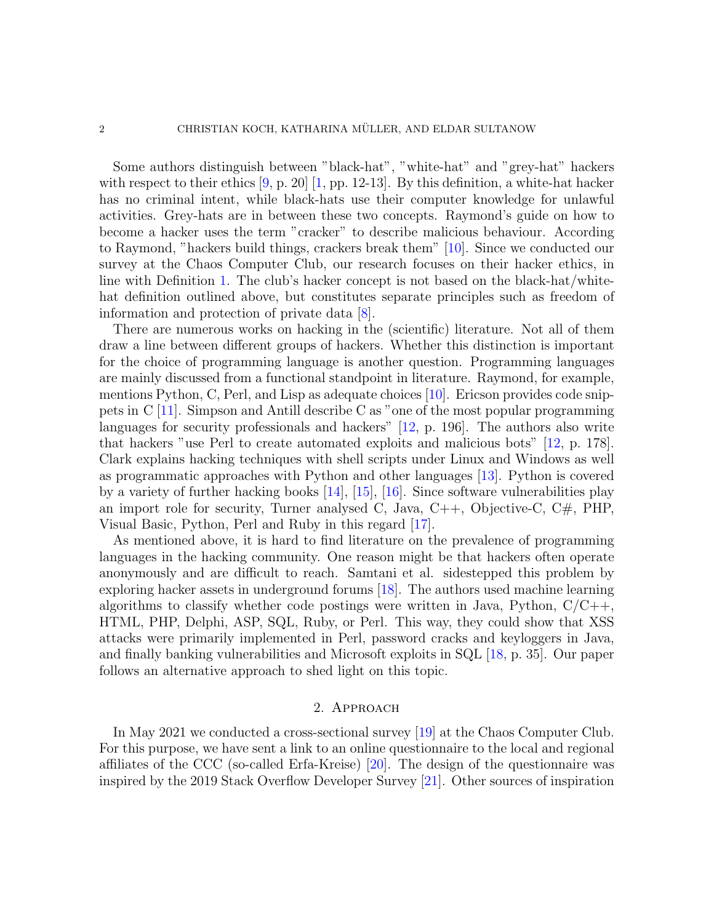Some authors distinguish between "black-hat", "white-hat" and "grey-hat" hackers with respect to their ethics  $[9, p. 20]$  $[9, p. 20]$  [\[1,](#page-12-0) pp. 12-13]. By this definition, a white-hat hacker has no criminal intent, while black-hats use their computer knowledge for unlawful activities. Grey-hats are in between these two concepts. Raymond's guide on how to become a hacker uses the term "cracker" to describe malicious behaviour. According to Raymond, "hackers build things, crackers break them" [\[10\]](#page-12-9). Since we conducted our survey at the Chaos Computer Club, our research focuses on their hacker ethics, in line with Definition [1.](#page-0-0) The club's hacker concept is not based on the black-hat/whitehat definition outlined above, but constitutes separate principles such as freedom of information and protection of private data [\[8\]](#page-12-7).

There are numerous works on hacking in the (scientific) literature. Not all of them draw a line between different groups of hackers. Whether this distinction is important for the choice of programming language is another question. Programming languages are mainly discussed from a functional standpoint in literature. Raymond, for example, mentions Python, C, Perl, and Lisp as adequate choices [\[10\]](#page-12-9). Ericson provides code snippets in C [\[11\]](#page-12-10). Simpson and Antill describe C as "one of the most popular programming languages for security professionals and hackers" [\[12,](#page-12-11) p. 196]. The authors also write that hackers "use Perl to create automated exploits and malicious bots" [\[12,](#page-12-11) p. 178]. Clark explains hacking techniques with shell scripts under Linux and Windows as well as programmatic approaches with Python and other languages [\[13\]](#page-12-12). Python is covered by a variety of further hacking books [\[14\]](#page-12-13), [\[15\]](#page-12-14), [\[16\]](#page-12-15). Since software vulnerabilities play an import role for security, Turner analysed C, Java,  $C_{++}$ , Objective-C,  $C_{\#}$ , PHP, Visual Basic, Python, Perl and Ruby in this regard [\[17\]](#page-12-16).

As mentioned above, it is hard to find literature on the prevalence of programming languages in the hacking community. One reason might be that hackers often operate anonymously and are difficult to reach. Samtani et al. sidestepped this problem by exploring hacker assets in underground forums [\[18\]](#page-12-17). The authors used machine learning algorithms to classify whether code postings were written in Java, Python,  $C/C++$ , HTML, PHP, Delphi, ASP, SQL, Ruby, or Perl. This way, they could show that XSS attacks were primarily implemented in Perl, password cracks and keyloggers in Java, and finally banking vulnerabilities and Microsoft exploits in SQL [\[18,](#page-12-17) p. 35]. Our paper follows an alternative approach to shed light on this topic.

#### 2. Approach

In May 2021 we conducted a cross-sectional survey [\[19\]](#page-12-18) at the Chaos Computer Club. For this purpose, we have sent a link to an online questionnaire to the local and regional affiliates of the CCC (so-called Erfa-Kreise) [\[20\]](#page-12-19). The design of the questionnaire was inspired by the 2019 Stack Overflow Developer Survey [\[21\]](#page-12-20). Other sources of inspiration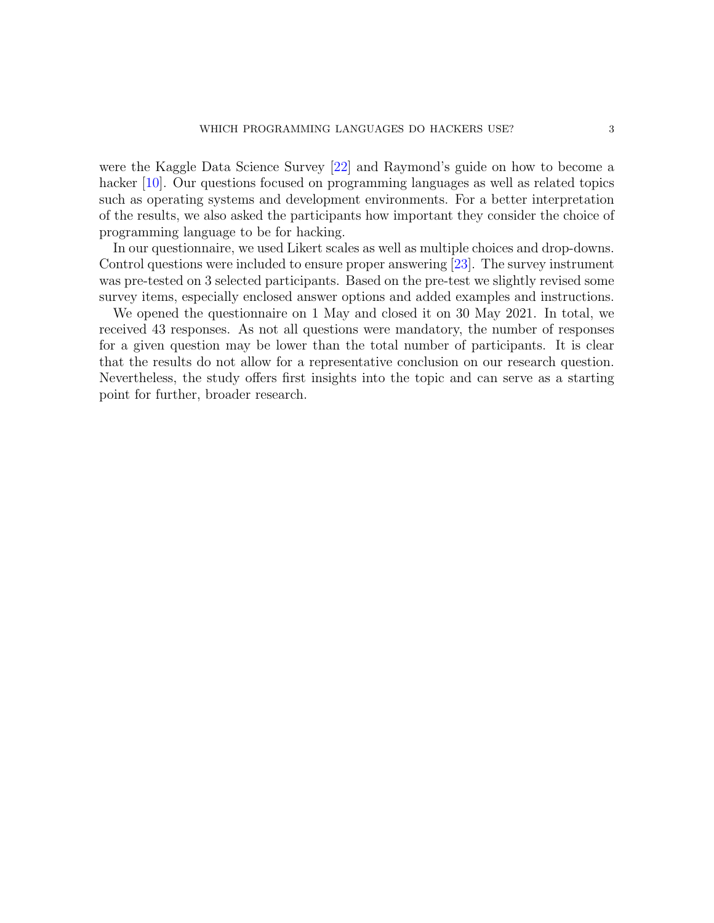were the Kaggle Data Science Survey [\[22\]](#page-12-21) and Raymond's guide on how to become a hacker [\[10\]](#page-12-9). Our questions focused on programming languages as well as related topics such as operating systems and development environments. For a better interpretation of the results, we also asked the participants how important they consider the choice of programming language to be for hacking.

In our questionnaire, we used Likert scales as well as multiple choices and drop-downs. Control questions were included to ensure proper answering [\[23\]](#page-12-22). The survey instrument was pre-tested on 3 selected participants. Based on the pre-test we slightly revised some survey items, especially enclosed answer options and added examples and instructions.

We opened the questionnaire on 1 May and closed it on 30 May 2021. In total, we received 43 responses. As not all questions were mandatory, the number of responses for a given question may be lower than the total number of participants. It is clear that the results do not allow for a representative conclusion on our research question. Nevertheless, the study offers first insights into the topic and can serve as a starting point for further, broader research.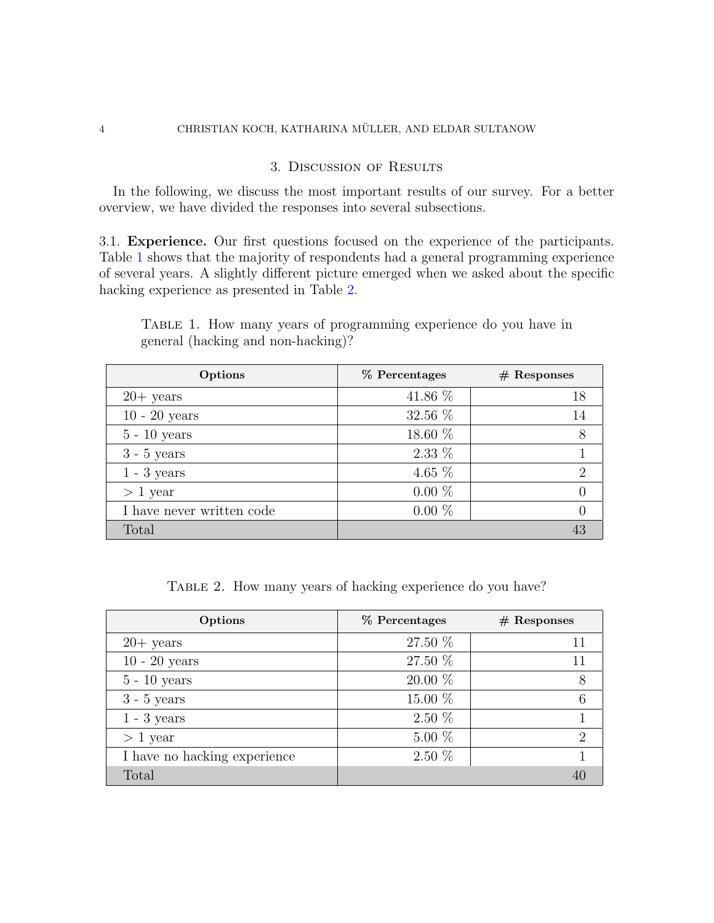### 3. Discussion of Results

In the following, we discuss the most important results of our survey. For a better overview, we have divided the responses into several subsections.

3.1. Experience. Our first questions focused on the experience of the participants. Table [1](#page-3-0) shows that the majority of respondents had a general programming experience of several years. A slightly different picture emerged when we asked about the specific hacking experience as presented in Table [2.](#page-3-1)

<span id="page-3-0"></span>

| TABLE 1. How many years of programming experience do you have in |  |  |  |  |  |  |  |
|------------------------------------------------------------------|--|--|--|--|--|--|--|
| general (hacking and non-hacking)?                               |  |  |  |  |  |  |  |

| Options                   | % Percentages | $#$ Responses |
|---------------------------|---------------|---------------|
| $20+$ years               | 41.86 %       | 18            |
| $10 - 20$ years           | 32.56 %       |               |
| $5 - 10$ years            | 18.60 %       |               |
| $3 - 5$ years             | $2.33\%$      |               |
| $1 - 3$ years             | 4.65 $%$      |               |
| $> 1$ year                | $0.00\%$      |               |
| I have never written code | $0.00\%$      |               |
| Total                     |               |               |

TABLE 2. How many years of hacking experience do you have?

<span id="page-3-1"></span>

| Options                      | % Percentages | $#$ Responses               |
|------------------------------|---------------|-----------------------------|
| $20+$ years                  | 27.50 %       | 11                          |
| $10 - 20$ years              | 27.50 %       | 11                          |
| $5 - 10$ years               | 20.00 %       | 8                           |
| $3 - 5$ years                | 15.00 %       |                             |
| $1 - 3$ years                | $2.50\%$      |                             |
| $> 1$ year                   | $5.00\%$      | $\mathcal{D}_{\mathcal{L}}$ |
| I have no hacking experience | $2.50\%$      |                             |
| Total                        |               |                             |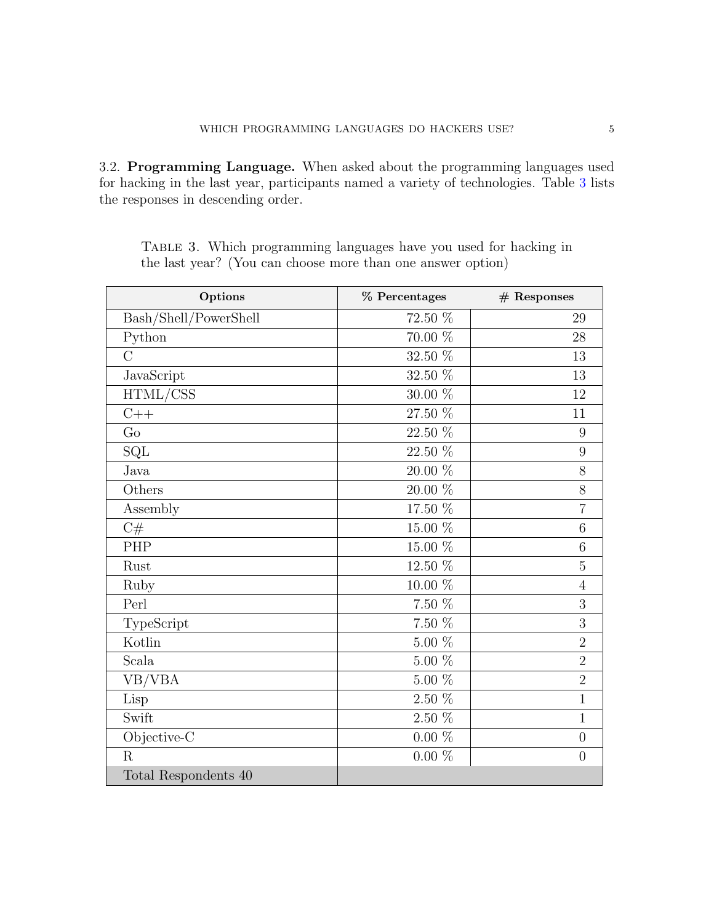3.2. Programming Language. When asked about the programming languages used for hacking in the last year, participants named a variety of technologies. Table [3](#page-4-0) lists the responses in descending order.

| Options               | % Percentages | $#$ Responses  |
|-----------------------|---------------|----------------|
| Bash/Shell/PowerShell | 72.50 %       | 29             |
| Python                | 70.00 %       | 28             |
| $\overline{C}$        | 32.50 %       | 13             |
| JavaScript            | $32.50~\%$    | 13             |
| HTML/CSS              | $30.00~\%$    | 12             |
| $C++$                 | $27.50~\%$    | 11             |
| Go                    | 22.50 %       | 9              |
| $\operatorname{SQL}$  | $22.50~\%$    | 9              |
| Java                  | $20.00~\%$    | 8              |
| Others                | 20.00 %       | 8              |
| Assembly              | $17.50~\%$    | $\overline{7}$ |
| C#                    | $15.00~\%$    | 6              |
| PHP                   | $15.00~\%$    | 6              |
| Rust                  | $12.50~\%$    | $\overline{5}$ |
| Ruby                  | $10.00~\%$    | $\overline{4}$ |
| Perl                  | $7.50~\%$     | 3              |
| TypeScript            | $7.50~\%$     | 3              |
| Kotlin                | $5.00~\%$     | $\overline{2}$ |
| Scala                 | $5.00~\%$     | $\overline{2}$ |
| VB/VBA                | $5.00~\%$     | $\overline{2}$ |
| Lisp                  | $2.50~\%$     | $\mathbf{1}$   |
| Swift                 | $2.50~\%$     | $\mathbf 1$    |
| Objective-C           | $0.00~\%$     | $\overline{0}$ |
| R                     | $0.00~\%$     | $\overline{0}$ |
| Total Respondents 40  |               |                |

<span id="page-4-0"></span>TABLE 3. Which programming languages have you used for hacking in the last year? (You can choose more than one answer option)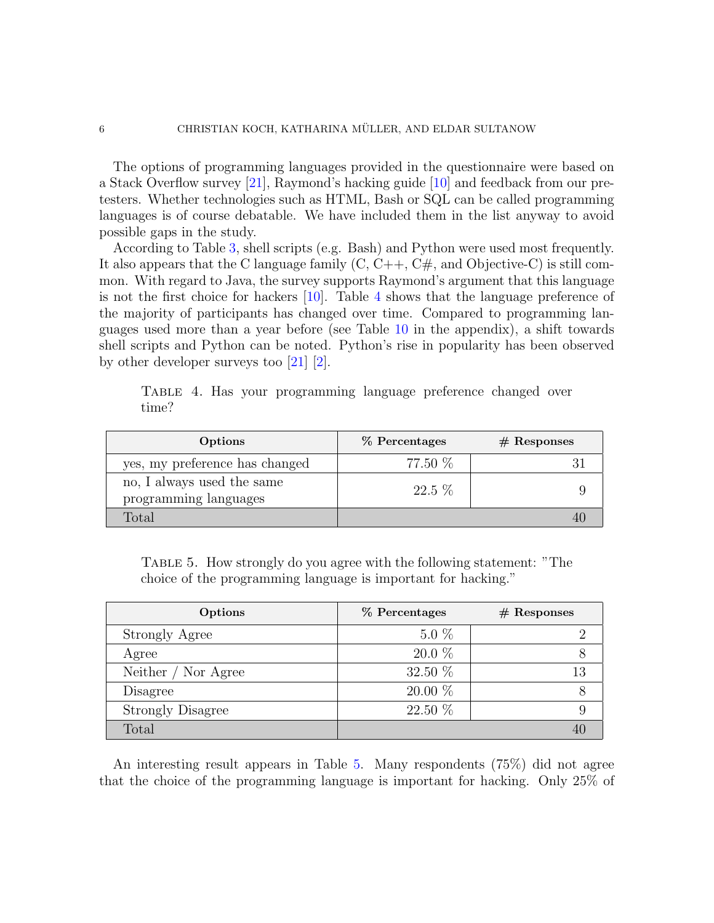The options of programming languages provided in the questionnaire were based on a Stack Overflow survey [\[21\]](#page-12-20), Raymond's hacking guide [\[10\]](#page-12-9) and feedback from our pretesters. Whether technologies such as HTML, Bash or SQL can be called programming languages is of course debatable. We have included them in the list anyway to avoid possible gaps in the study.

According to Table [3,](#page-4-0) shell scripts (e.g. Bash) and Python were used most frequently. It also appears that the C language family  $(C, C++, C#,$  and Objective-C) is still common. With regard to Java, the survey supports Raymond's argument that this language is not the first choice for hackers [\[10\]](#page-12-9). Table [4](#page-5-0) shows that the language preference of the majority of participants has changed over time. Compared to programming languages used more than a year before (see Table [10](#page-9-0) in the appendix), a shift towards shell scripts and Python can be noted. Python's rise in popularity has been observed by other developer surveys too [\[21\]](#page-12-20) [\[2\]](#page-12-1).

| Options                                             | % Percentages | $#$ Responses |
|-----------------------------------------------------|---------------|---------------|
| yes, my preference has changed                      | 77.50 %       |               |
| no, I always used the same<br>programming languages | $22.5\%$      |               |
| Fotal                                               |               |               |

<span id="page-5-0"></span>Table 4. Has your programming language preference changed over time?

<span id="page-5-1"></span>Table 5. How strongly do you agree with the following statement: "The choice of the programming language is important for hacking."

| Options                  | % Percentages | $#$ Responses |
|--------------------------|---------------|---------------|
| Strongly Agree           | $5.0\%$       |               |
| Agree                    | $20.0\%$      |               |
| Neither / Nor Agree      | 32.50 $%$     |               |
| Disagree                 | $20.00\%$     |               |
| <b>Strongly Disagree</b> | 22.50 %       |               |
| Total                    |               |               |

An interesting result appears in Table [5.](#page-5-1) Many respondents (75%) did not agree that the choice of the programming language is important for hacking. Only 25% of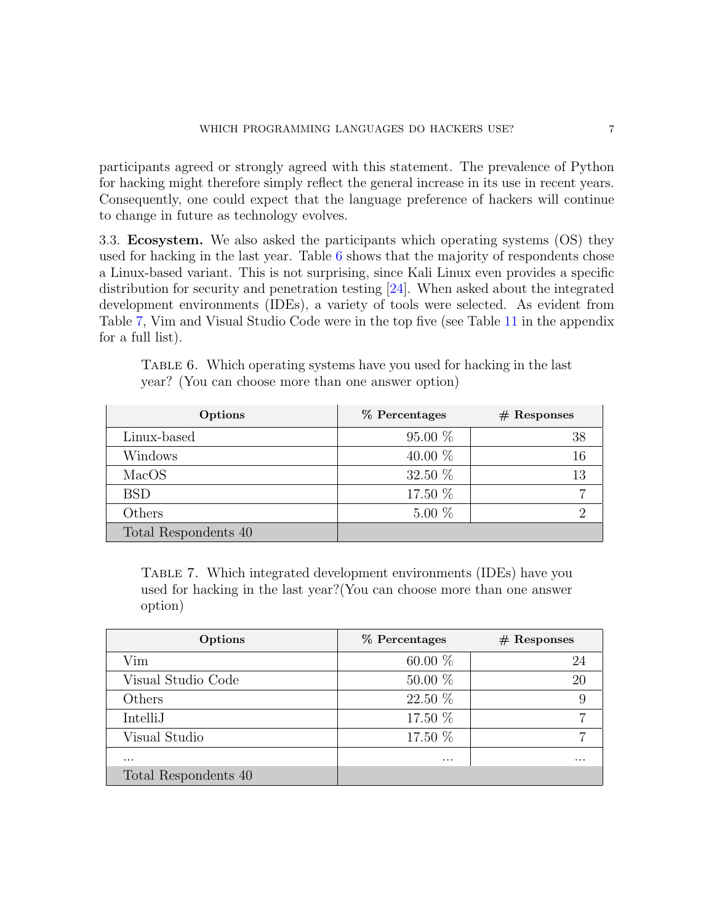participants agreed or strongly agreed with this statement. The prevalence of Python for hacking might therefore simply reflect the general increase in its use in recent years. Consequently, one could expect that the language preference of hackers will continue to change in future as technology evolves.

3.3. Ecosystem. We also asked the participants which operating systems (OS) they used for hacking in the last year. Table [6](#page-6-0) shows that the majority of respondents chose a Linux-based variant. This is not surprising, since Kali Linux even provides a specific distribution for security and penetration testing [\[24\]](#page-12-23). When asked about the integrated development environments (IDEs), a variety of tools were selected. As evident from Table [7,](#page-6-1) Vim and Visual Studio Code were in the top five (see Table [11](#page-10-0) in the appendix for a full list).

| Options              | % Percentages | $#$ Responses |
|----------------------|---------------|---------------|
| Linux-based          | $95.00\%$     | 38            |
| Windows              | 40.00 $%$     | 16            |
| MacOS                | 32.50 $%$     | 13            |
| <b>BSD</b>           | 17.50 %       |               |
| Others               | $5.00\%$      |               |
| Total Respondents 40 |               |               |

<span id="page-6-0"></span>TABLE 6. Which operating systems have you used for hacking in the last year? (You can choose more than one answer option)

<span id="page-6-1"></span>Table 7. Which integrated development environments (IDEs) have you used for hacking in the last year?(You can choose more than one answer option)

| Options              | % Percentages | $#$ Responses |
|----------------------|---------------|---------------|
| Vim                  | 60.00 $%$     |               |
| Visual Studio Code   | $50.00\%$     | 20            |
| Others               | 22.50 %       |               |
| IntelliJ             | 17.50 %       |               |
| Visual Studio        | 17.50 %       |               |
| $\cdots$             | $\cdots$      | $\cdots$      |
| Total Respondents 40 |               |               |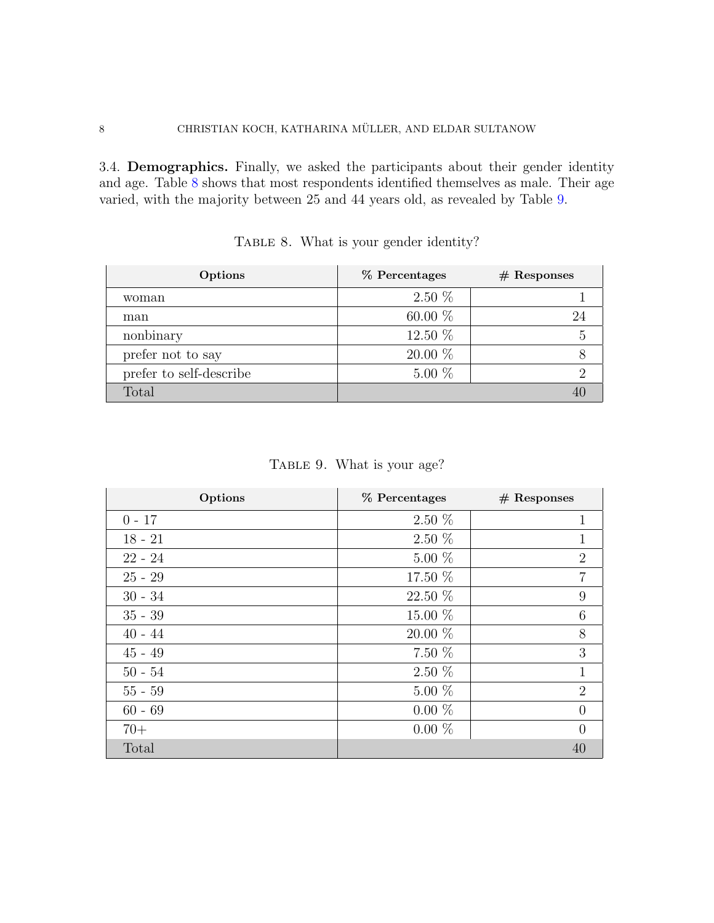3.4. Demographics. Finally, we asked the participants about their gender identity and age. Table [8](#page-7-0) shows that most respondents identified themselves as male. Their age varied, with the majority between 25 and 44 years old, as revealed by Table [9.](#page-7-1)

<span id="page-7-0"></span>

| Options                 | % Percentages | $#$ Responses |
|-------------------------|---------------|---------------|
| woman                   | $2.50\%$      |               |
| man                     | 60.00 $%$     |               |
| nonbinary               | 12.50 %       |               |
| prefer not to say       | $20.00\%$     |               |
| prefer to self-describe | $5.00\%$      |               |
| Total                   |               |               |

| TABLE 8. What is your gender identity? |  |  |
|----------------------------------------|--|--|
|                                        |  |  |

TABLE 9. What is your age?

<span id="page-7-1"></span>

| Options   | % Percentages | $#$ Responses  |
|-----------|---------------|----------------|
| $0 - 17$  | $2.50\%$      | 1              |
| $18 - 21$ | $2.50\%$      |                |
| $22 - 24$ | $5.00\%$      | $\overline{2}$ |
| $25 - 29$ | 17.50 %       | 7              |
| $30 - 34$ | 22.50 %       | 9              |
| $35 - 39$ | 15.00 %       | 6              |
| $40 - 44$ | 20.00 %       | 8              |
| $45 - 49$ | $7.50\%$      | 3              |
| $50 - 54$ | $2.50\%$      | 1              |
| $55 - 59$ | $5.00\%$      | $\overline{2}$ |
| $60 - 69$ | $0.00\%$      |                |
| $70+$     | $0.00\%$      |                |
| Total     |               |                |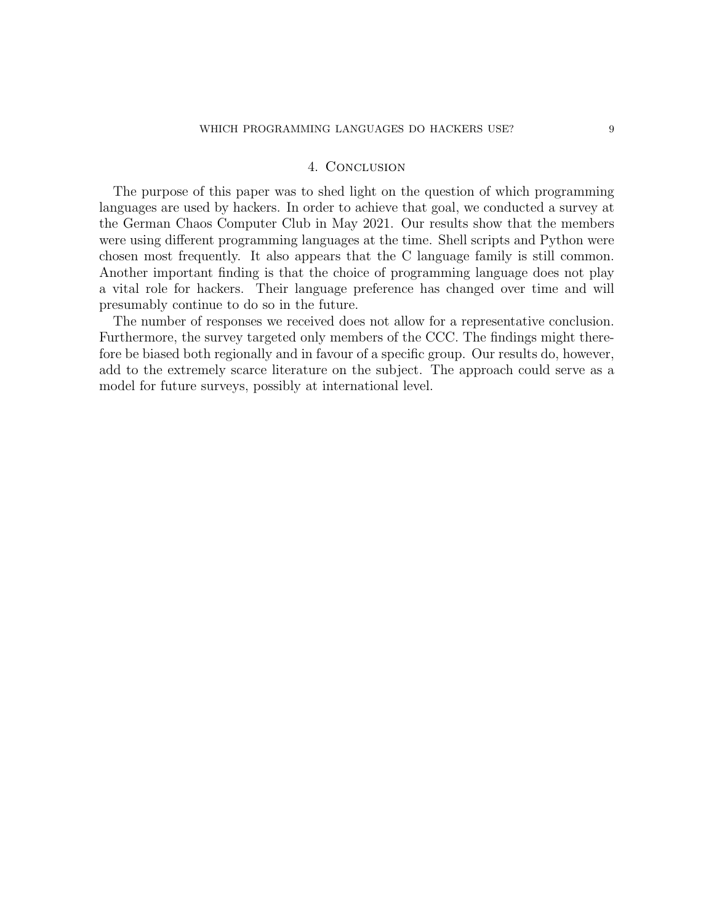### 4. Conclusion

The purpose of this paper was to shed light on the question of which programming languages are used by hackers. In order to achieve that goal, we conducted a survey at the German Chaos Computer Club in May 2021. Our results show that the members were using different programming languages at the time. Shell scripts and Python were chosen most frequently. It also appears that the C language family is still common. Another important finding is that the choice of programming language does not play a vital role for hackers. Their language preference has changed over time and will presumably continue to do so in the future.

The number of responses we received does not allow for a representative conclusion. Furthermore, the survey targeted only members of the CCC. The findings might therefore be biased both regionally and in favour of a specific group. Our results do, however, add to the extremely scarce literature on the subject. The approach could serve as a model for future surveys, possibly at international level.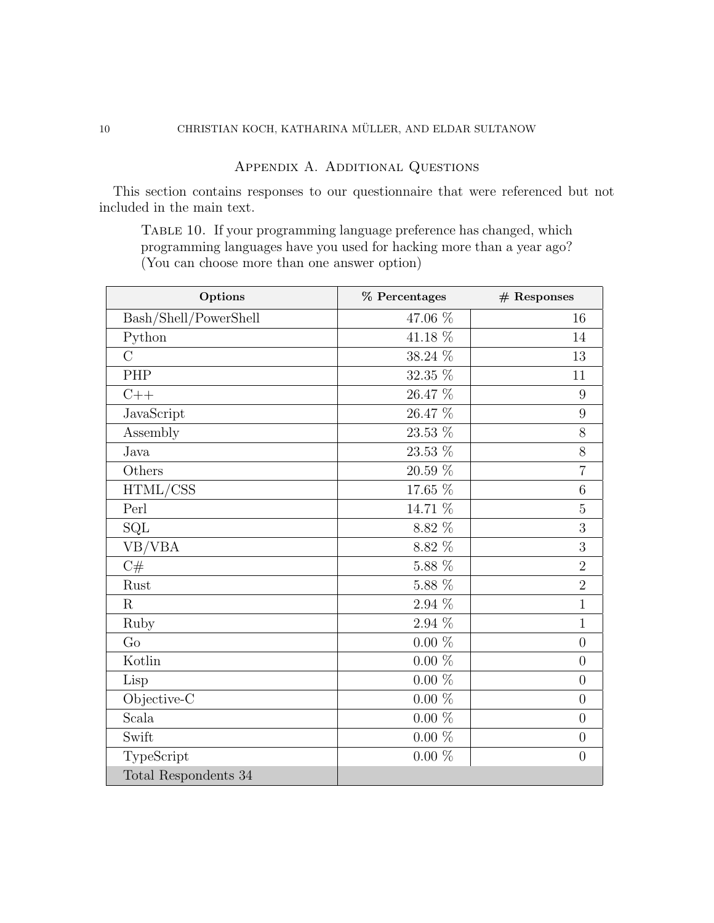### Appendix A. Additional Questions

<span id="page-9-0"></span>This section contains responses to our questionnaire that were referenced but not included in the main text.

TABLE 10. If your programming language preference has changed, which programming languages have you used for hacking more than a year ago? (You can choose more than one answer option)

| Options               | % Percentages | $#$ Responses    |
|-----------------------|---------------|------------------|
| Bash/Shell/PowerShell | 47.06 %       | 16               |
| Python                | 41.18 %       | 14               |
| $\overline{C}$        | 38.24 %       | 13               |
| PHP                   | $32.35~\%$    | 11               |
| $C++$                 | 26.47 %       | 9                |
| JavaScript            | 26.47 %       | 9                |
| Assembly              | 23.53 %       | 8                |
| Java                  | $23.53~\%$    | 8                |
| Others                | $20.59~\%$    | $\overline{7}$   |
| HTML/CSS              | 17.65 %       | 6                |
| Perl                  | 14.71 %       | $\overline{5}$   |
| SQL                   | $8.82~\%$     | 3                |
| VB/VBA                | $8.82~\%$     | 3                |
| C#                    | $5.88~\%$     | $\overline{2}$   |
| Rust                  | $5.88~\%$     | $\overline{2}$   |
| $\mathbf R$           | $2.94~\%$     | $\mathbf{1}$     |
| Ruby                  | 2.94 %        | $\mathbf{1}$     |
| Go                    | $0.00~\%$     | $\overline{0}$   |
| Kotlin                | $0.00\%$      | $\overline{0}$   |
| Lisp                  | $0.00~\%$     | $\overline{0}$   |
| Objective-C           | $0.00~\%$     | $\overline{0}$   |
| Scala                 | $0.00\%$      | $\overline{0}$   |
| Swift                 | $0.00~\%$     | $\boldsymbol{0}$ |
| TypeScript            | $0.00~\%$     | $\overline{0}$   |
| Total Respondents 34  |               |                  |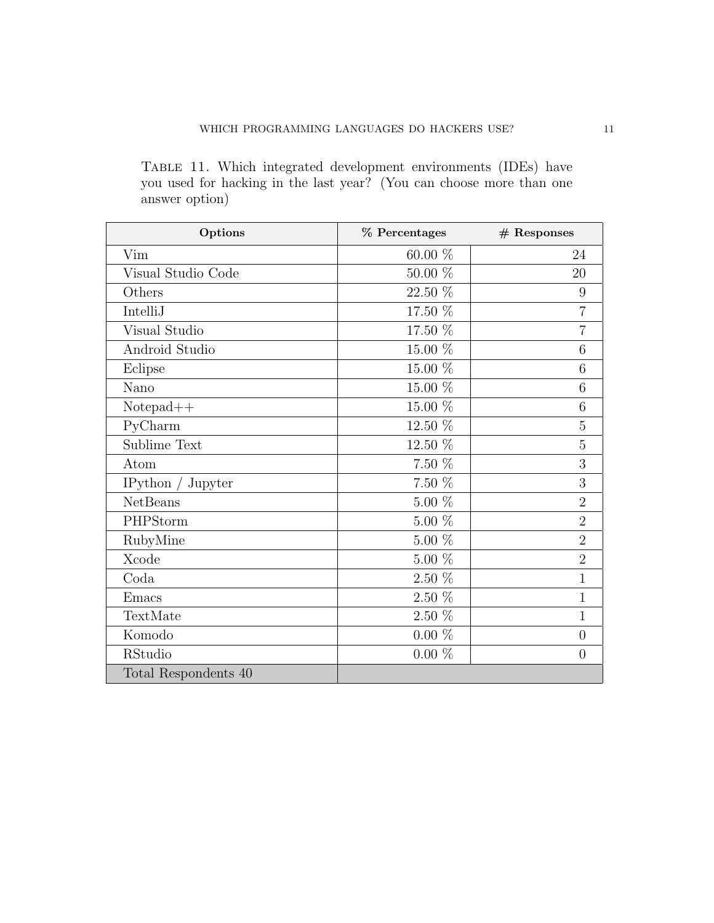<span id="page-10-0"></span>Table 11. Which integrated development environments (IDEs) have you used for hacking in the last year? (You can choose more than one answer option)

| Options              | % Percentages | $#$ Responses  |
|----------------------|---------------|----------------|
| Vim                  | 60.00 %       | 24             |
| Visual Studio Code   | $50.00\%$     | 20             |
| Others               | 22.50 %       | 9              |
| IntelliJ             | 17.50 %       | $\overline{7}$ |
| Visual Studio        | 17.50 %       | 7              |
| Android Studio       | $15.00~\%$    | 6              |
| Eclipse              | $15.00~\%$    | 6              |
| Nano                 | 15.00 %       | 6              |
| $Notepad++$          | 15.00 %       | 6              |
| PyCharm              | 12.50 %       | 5              |
| Sublime Text         | 12.50 %       | $\overline{5}$ |
| Atom                 | $7.50~\%$     | 3              |
| IPython $/$ Jupyter  | $7.50~\%$     | 3              |
| <b>NetBeans</b>      | $5.00~\%$     | $\overline{2}$ |
| PHPStorm             | $5.00~\%$     | $\overline{2}$ |
| RubyMine             | $5.00~\%$     | $\overline{2}$ |
| Xcode                | $5.00~\%$     | $\overline{2}$ |
| $\mathrm{Coda}$      | $2.50~\%$     | $\mathbf{1}$   |
| Emacs                | $2.50~\%$     | 1              |
| TextMate             | $2.50~\%$     | 1              |
| Komodo               | $0.00~\%$     | $\overline{0}$ |
| RStudio              | $0.00\%$      | $\overline{0}$ |
| Total Respondents 40 |               |                |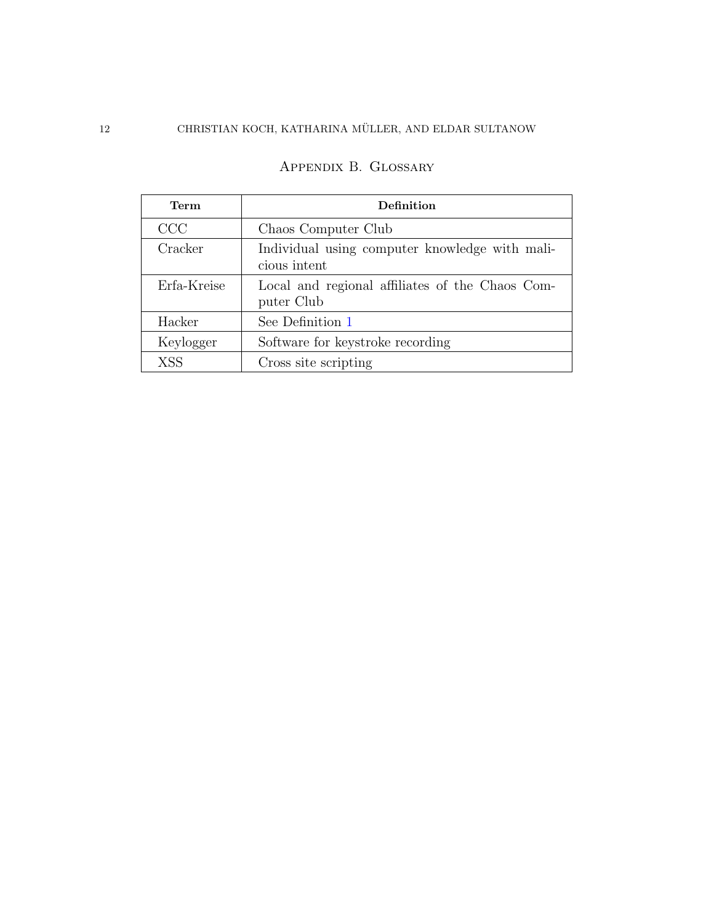## 12 CHRISTIAN KOCH, KATHARINA MÜLLER, AND ELDAR SULTANOW

| Term        | Definition                                                     |
|-------------|----------------------------------------------------------------|
| CCC         | Chaos Computer Club                                            |
| Cracker     | Individual using computer knowledge with mali-<br>cious intent |
| Erfa-Kreise | Local and regional affiliates of the Chaos Com-<br>puter Club  |
| Hacker      | See Definition 1                                               |
| Keylogger   | Software for keystroke recording                               |
| <b>XSS</b>  | Cross site scripting                                           |

# Appendix B. Glossary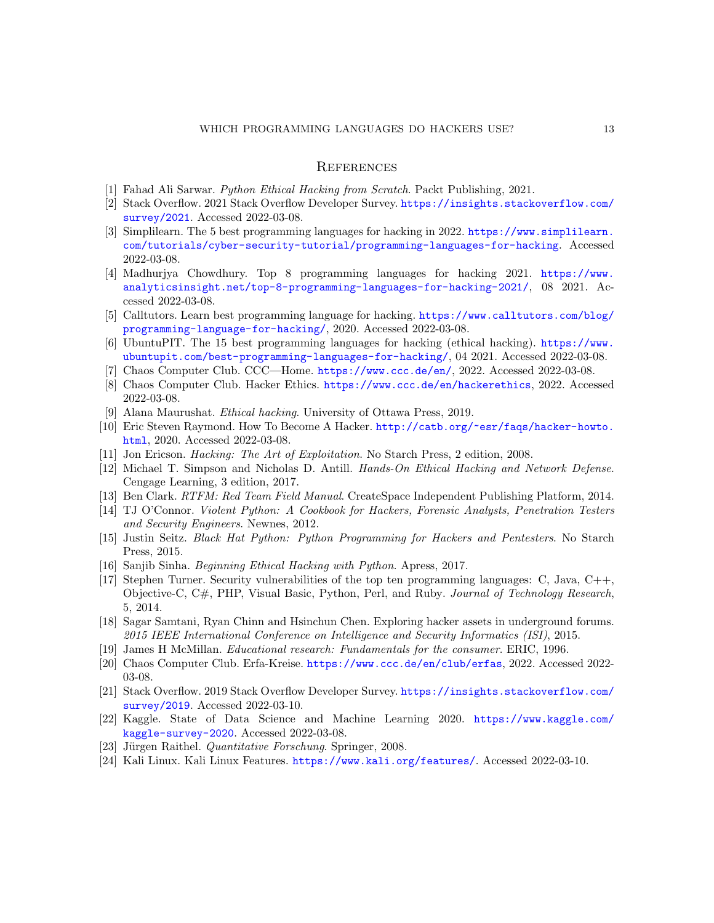#### **REFERENCES**

- <span id="page-12-0"></span>[1] Fahad Ali Sarwar. Python Ethical Hacking from Scratch. Packt Publishing, 2021.
- <span id="page-12-1"></span>[2] Stack Overflow. 2021 Stack Overflow Developer Survey. [https://insights.stackoverflow.com/](https://insights.stackoverflow.com/survey/2021) [survey/2021](https://insights.stackoverflow.com/survey/2021). Accessed 2022-03-08.
- <span id="page-12-2"></span>[3] Simplilearn. The 5 best programming languages for hacking in 2022. [https://www.simplilearn.](https://www.simplilearn.com/tutorials/cyber-security-tutorial/programming-languages-for-hacking) [com/tutorials/cyber-security-tutorial/programming-languages-for-hacking](https://www.simplilearn.com/tutorials/cyber-security-tutorial/programming-languages-for-hacking). Accessed 2022-03-08.
- <span id="page-12-3"></span>[4] Madhurjya Chowdhury. Top 8 programming languages for hacking 2021. [https://www.](https://www.analyticsinsight.net/top-8-programming-languages-for-hacking-2021/) [analyticsinsight.net/top-8-programming-languages-for-hacking-2021/](https://www.analyticsinsight.net/top-8-programming-languages-for-hacking-2021/), 08 2021. Accessed 2022-03-08.
- <span id="page-12-4"></span>[5] Calltutors. Learn best programming language for hacking. [https://www.calltutors.com/blog/](https://www.calltutors.com/blog/programming-language-for-hacking/) [programming-language-for-hacking/](https://www.calltutors.com/blog/programming-language-for-hacking/), 2020. Accessed 2022-03-08.
- <span id="page-12-5"></span>[6] UbuntuPIT. The 15 best programming languages for hacking (ethical hacking). [https://www.](https://www.ubuntupit.com/best-programming-languages-for-hacking/) [ubuntupit.com/best-programming-languages-for-hacking/](https://www.ubuntupit.com/best-programming-languages-for-hacking/), 04 2021. Accessed 2022-03-08.
- <span id="page-12-6"></span>[7] Chaos Computer Club. CCC—Home. <https://www.ccc.de/en/>, 2022. Accessed 2022-03-08.
- <span id="page-12-7"></span>[8] Chaos Computer Club. Hacker Ethics. <https://www.ccc.de/en/hackerethics>, 2022. Accessed 2022-03-08.
- <span id="page-12-8"></span>[9] Alana Maurushat. Ethical hacking. University of Ottawa Press, 2019.
- <span id="page-12-9"></span>[10] Eric Steven Raymond. How To Become A Hacker. [http://catb.org/~esr/faqs/hacker-howto.](http://catb.org/~esr/faqs/hacker-howto.html) [html](http://catb.org/~esr/faqs/hacker-howto.html), 2020. Accessed 2022-03-08.
- <span id="page-12-10"></span>[11] Jon Ericson. Hacking: The Art of Exploitation. No Starch Press, 2 edition, 2008.
- <span id="page-12-11"></span>[12] Michael T. Simpson and Nicholas D. Antill. Hands-On Ethical Hacking and Network Defense. Cengage Learning, 3 edition, 2017.
- <span id="page-12-12"></span>[13] Ben Clark. RTFM: Red Team Field Manual. CreateSpace Independent Publishing Platform, 2014.
- <span id="page-12-13"></span>[14] TJ O'Connor. Violent Python: A Cookbook for Hackers, Forensic Analysts, Penetration Testers and Security Engineers. Newnes, 2012.
- <span id="page-12-14"></span>[15] Justin Seitz. Black Hat Python: Python Programming for Hackers and Pentesters. No Starch Press, 2015.
- <span id="page-12-15"></span>[16] Sanjib Sinha. Beginning Ethical Hacking with Python. Apress, 2017.
- <span id="page-12-16"></span>[17] Stephen Turner. Security vulnerabilities of the top ten programming languages: C, Java, C++, Objective-C, C#, PHP, Visual Basic, Python, Perl, and Ruby. Journal of Technology Research, 5, 2014.
- <span id="page-12-17"></span>[18] Sagar Samtani, Ryan Chinn and Hsinchun Chen. Exploring hacker assets in underground forums. 2015 IEEE International Conference on Intelligence and Security Informatics (ISI), 2015.
- <span id="page-12-18"></span>[19] James H McMillan. Educational research: Fundamentals for the consumer. ERIC, 1996.
- <span id="page-12-19"></span>[20] Chaos Computer Club. Erfa-Kreise. <https://www.ccc.de/en/club/erfas>, 2022. Accessed 2022- 03-08.
- <span id="page-12-20"></span>[21] Stack Overflow. 2019 Stack Overflow Developer Survey. [https://insights.stackoverflow.com/](https://insights.stackoverflow.com/survey/2019) [survey/2019](https://insights.stackoverflow.com/survey/2019). Accessed 2022-03-10.
- <span id="page-12-21"></span>[22] Kaggle. State of Data Science and Machine Learning 2020. [https://www.kaggle.com/](https://www.kaggle.com/kaggle-survey-2020) [kaggle-survey-2020](https://www.kaggle.com/kaggle-survey-2020). Accessed 2022-03-08.
- <span id="page-12-22"></span>[23] Jürgen Raithel. *Quantitative Forschung*. Springer, 2008.
- <span id="page-12-23"></span>[24] Kali Linux. Kali Linux Features. <https://www.kali.org/features/>. Accessed 2022-03-10.